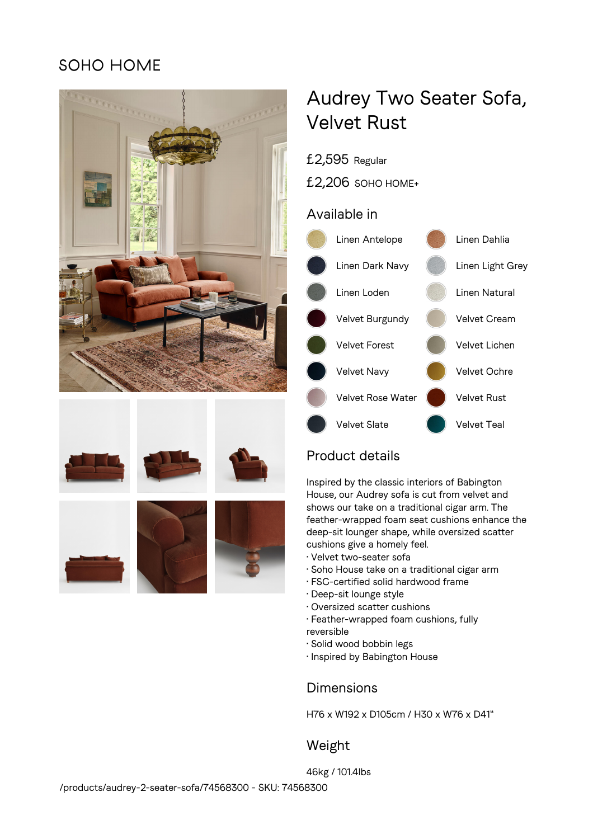## SOHO HOME









# Audrey Two Seater Sofa, Velvet Rust

## £2,595 Regular

£2,206 SOHO HOME+

### Available in



## Product details

Inspired by the classic interiors of Babington House, our Audrey sofa is cut from velvet and shows our take on a traditional cigar arm. The feather-wrapped foam seat cushions enhance the deep-sit lounger shape, while oversized scatter cushions give a homely feel.

- Velvet two-seater sofa
- Soho House take on a traditional cigar arm
- FSC-certified solid hardwood frame
- Deep-sit lounge style
- Oversized scatter cushions
- Feather-wrapped foam cushions, fully reversible
- Solid wood bobbin legs
- Inspired by Babington House

## **Dimensions**

H76 x W192 x D105cm / H30 x W76 x D41"

## Weight

46kg / 101.4lbs